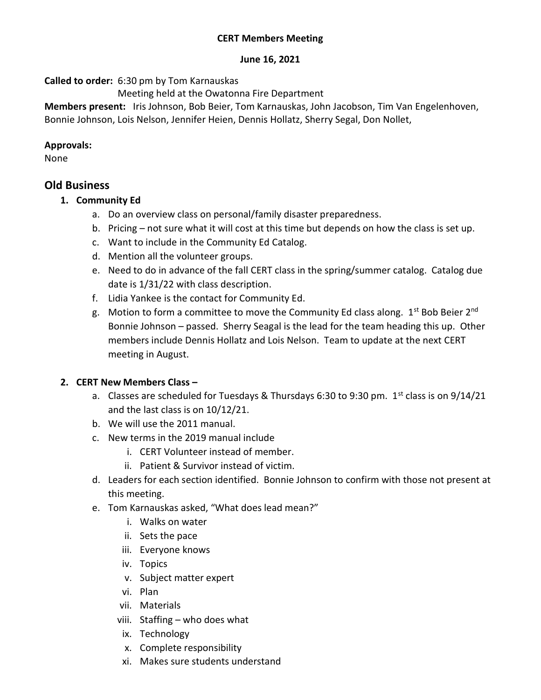## June 16, 2021

Called to order: 6:30 pm by Tom Karnauskas

Meeting held at the Owatonna Fire Department

Members present: Iris Johnson, Bob Beier, Tom Karnauskas, John Jacobson, Tim Van Engelenhoven, Bonnie Johnson, Lois Nelson, Jennifer Heien, Dennis Hollatz, Sherry Segal, Don Nollet,

## Approvals:

None

## Old Business

- 1. Community Ed
	- a. Do an overview class on personal/family disaster preparedness.
	- b. Pricing not sure what it will cost at this time but depends on how the class is set up.
	- c. Want to include in the Community Ed Catalog.
	- d. Mention all the volunteer groups.
	- e. Need to do in advance of the fall CERT class in the spring/summer catalog. Catalog due date is 1/31/22 with class description.
	- f. Lidia Yankee is the contact for Community Ed.
	- g. Motion to form a committee to move the Community Ed class along. 1<sup>st</sup> Bob Beier 2<sup>nd</sup> Bonnie Johnson – passed. Sherry Seagal is the lead for the team heading this up. Other members include Dennis Hollatz and Lois Nelson. Team to update at the next CERT meeting in August.

## 2. CERT New Members Class –

- a. Classes are scheduled for Tuesdays & Thursdays 6:30 to 9:30 pm.  $1<sup>st</sup>$  class is on 9/14/21 and the last class is on 10/12/21.
- b. We will use the 2011 manual.
- c. New terms in the 2019 manual include
	- i. CERT Volunteer instead of member.
	- ii. Patient & Survivor instead of victim.
- d. Leaders for each section identified. Bonnie Johnson to confirm with those not present at this meeting.
- e. Tom Karnauskas asked, "What does lead mean?"
	- i. Walks on water
	- ii. Sets the pace
	- iii. Everyone knows
	- iv. Topics
	- v. Subject matter expert
	- vi. Plan
	- vii. Materials
	- viii. Staffing who does what
	- ix. Technology
	- x. Complete responsibility
	- xi. Makes sure students understand